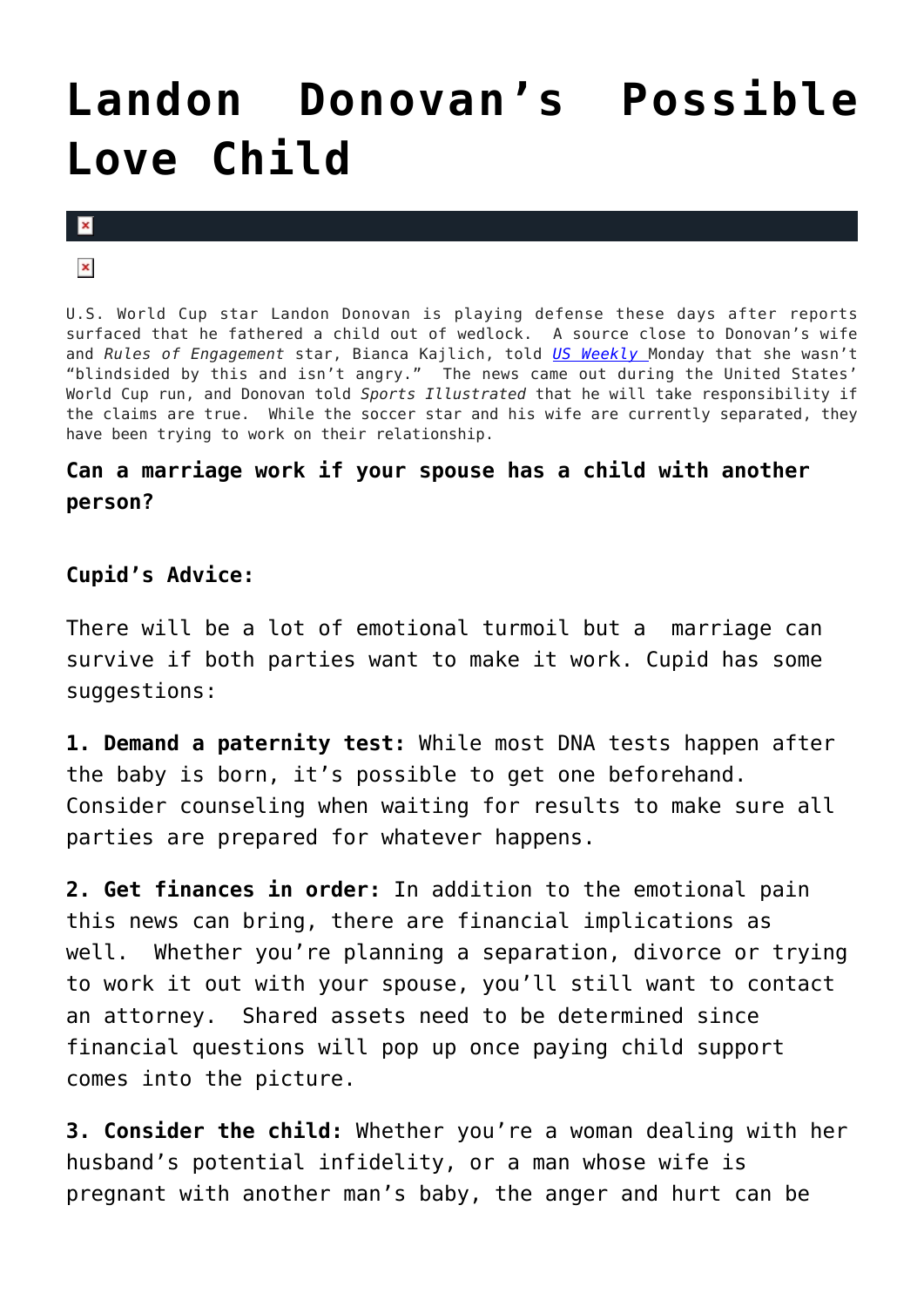## **[Landon Donovan's Possible](https://cupidspulse.com/1508/landon-donovans-possible-love-child/) [Love Child](https://cupidspulse.com/1508/landon-donovans-possible-love-child/)**

 $\pmb{\times}$ 

 $\pmb{\times}$ 

U.S. World Cup star Landon Donovan is playing defense these days after reports surfaced that he fathered a child out of wedlock. A source close to Donovan's wife and *Rules of Engagement* star, Bianca Kajlich, told *[US Weekly](http://www.usmagazine.com/momsbabies/news/landon-donovans-wife-was-not-blindsided-by-love-child-report-2010286)* Monday that she wasn't "blindsided by this and isn't angry." The news came out during the United States' World Cup run, and Donovan told *Sports Illustrated* that he will take responsibility if the claims are true. While the soccer star and his wife are currently separated, they have been trying to work on their relationship.

## **Can a marriage work if your spouse has a child with another person?**

## **Cupid's Advice:**

There will be a lot of emotional turmoil but a marriage can survive if both parties want to make it work. Cupid has some suggestions:

**1. Demand a paternity test:** While most DNA tests happen after the baby is born, it's possible to get one beforehand. Consider counseling when waiting for results to make sure all parties are prepared for whatever happens.

**2. Get finances in order:** In addition to the emotional pain this news can bring, there are financial implications as well. Whether you're planning a separation, divorce or trying to work it out with your spouse, you'll still want to contact an attorney. Shared assets need to be determined since financial questions will pop up once paying child support comes into the picture.

**3. Consider the child:** Whether you're a woman dealing with her husband's potential infidelity, or a man whose wife is pregnant with another man's baby, the anger and hurt can be